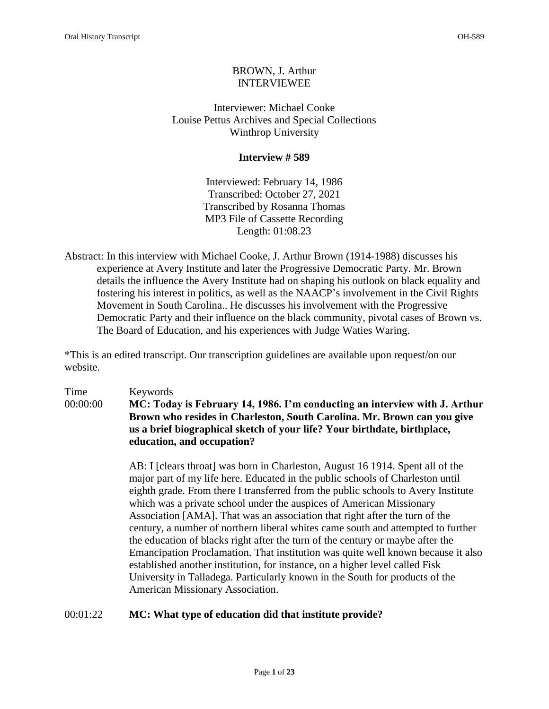# BROWN, J. Arthur INTERVIEWEE

Interviewer: Michael Cooke Louise Pettus Archives and Special Collections Winthrop University

### **Interview # 589**

Interviewed: February 14, 1986 Transcribed: October 27, 2021 Transcribed by Rosanna Thomas MP3 File of Cassette Recording Length: 01:08.23

Abstract: In this interview with Michael Cooke, J. Arthur Brown (1914-1988) discusses his experience at Avery Institute and later the Progressive Democratic Party. Mr. Brown details the influence the Avery Institute had on shaping his outlook on black equality and fostering his interest in politics, as well as the NAACP's involvement in the Civil Rights Movement in South Carolina.. He discusses his involvement with the Progressive Democratic Party and their influence on the black community, pivotal cases of Brown vs. The Board of Education, and his experiences with Judge Waties Waring.

\*This is an edited transcript. Our transcription guidelines are available upon request/on our website.

# Time Keywords 00:00:00 **MC: Today is February 14, 1986. I'm conducting an interview with J. Arthur Brown who resides in Charleston, South Carolina. Mr. Brown can you give us a brief biographical sketch of your life? Your birthdate, birthplace, education, and occupation?**

AB: I [clears throat] was born in Charleston, August 16 1914. Spent all of the major part of my life here. Educated in the public schools of Charleston until eighth grade. From there I transferred from the public schools to Avery Institute which was a private school under the auspices of American Missionary Association [AMA]. That was an association that right after the turn of the century, a number of northern liberal whites came south and attempted to further the education of blacks right after the turn of the century or maybe after the Emancipation Proclamation. That institution was quite well known because it also established another institution, for instance, on a higher level called Fisk University in Talladega. Particularly known in the South for products of the American Missionary Association.

# 00:01:22 **MC: What type of education did that institute provide?**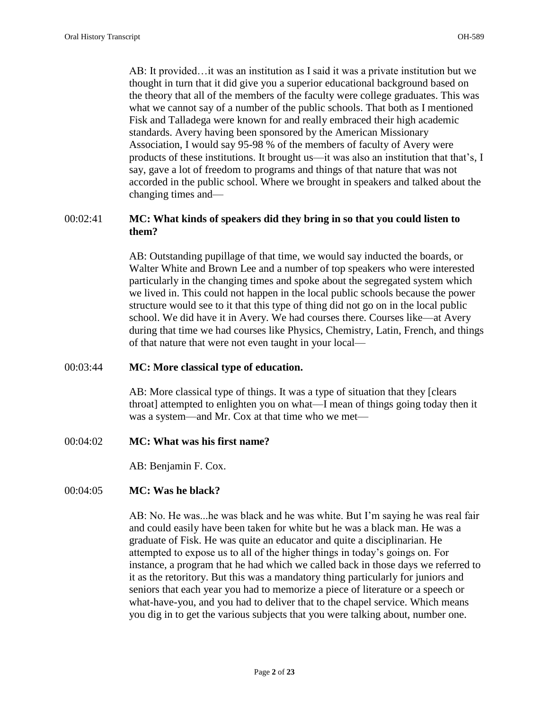AB: It provided…it was an institution as I said it was a private institution but we thought in turn that it did give you a superior educational background based on the theory that all of the members of the faculty were college graduates. This was what we cannot say of a number of the public schools. That both as I mentioned Fisk and Talladega were known for and really embraced their high academic standards. Avery having been sponsored by the American Missionary Association, I would say 95-98 % of the members of faculty of Avery were products of these institutions. It brought us—it was also an institution that that's, I say, gave a lot of freedom to programs and things of that nature that was not accorded in the public school. Where we brought in speakers and talked about the changing times and—

# 00:02:41 **MC: What kinds of speakers did they bring in so that you could listen to them?**

AB: Outstanding pupillage of that time, we would say inducted the boards, or Walter White and Brown Lee and a number of top speakers who were interested particularly in the changing times and spoke about the segregated system which we lived in. This could not happen in the local public schools because the power structure would see to it that this type of thing did not go on in the local public school. We did have it in Avery. We had courses there. Courses like—at Avery during that time we had courses like Physics, Chemistry, Latin, French, and things of that nature that were not even taught in your local—

#### 00:03:44 **MC: More classical type of education.**

AB: More classical type of things. It was a type of situation that they [clears throat] attempted to enlighten you on what—I mean of things going today then it was a system—and Mr. Cox at that time who we met—

00:04:02 **MC: What was his first name?** 

AB: Benjamin F. Cox.

# 00:04:05 **MC: Was he black?**

AB: No. He was...he was black and he was white. But I'm saying he was real fair and could easily have been taken for white but he was a black man. He was a graduate of Fisk. He was quite an educator and quite a disciplinarian. He attempted to expose us to all of the higher things in today's goings on. For instance, a program that he had which we called back in those days we referred to it as the retoritory. But this was a mandatory thing particularly for juniors and seniors that each year you had to memorize a piece of literature or a speech or what-have-you, and you had to deliver that to the chapel service. Which means you dig in to get the various subjects that you were talking about, number one.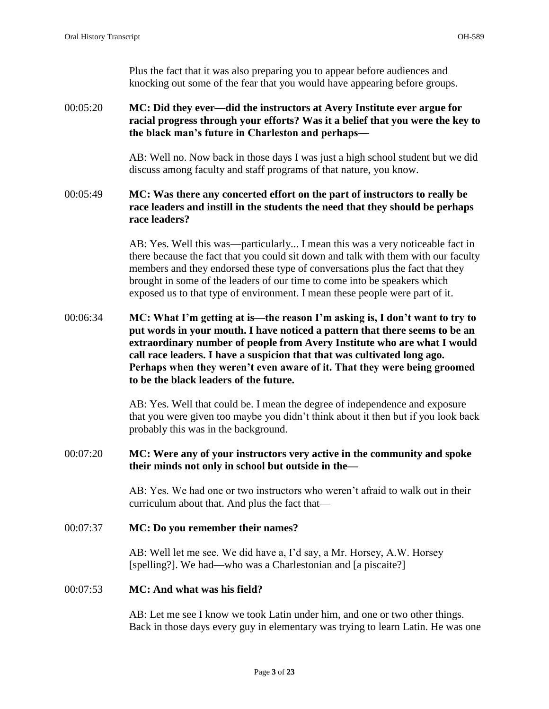Plus the fact that it was also preparing you to appear before audiences and knocking out some of the fear that you would have appearing before groups.

# 00:05:20 **MC: Did they ever—did the instructors at Avery Institute ever argue for racial progress through your efforts? Was it a belief that you were the key to the black man's future in Charleston and perhaps—**

AB: Well no. Now back in those days I was just a high school student but we did discuss among faculty and staff programs of that nature, you know.

# 00:05:49 **MC: Was there any concerted effort on the part of instructors to really be race leaders and instill in the students the need that they should be perhaps race leaders?**

AB: Yes. Well this was—particularly... I mean this was a very noticeable fact in there because the fact that you could sit down and talk with them with our faculty members and they endorsed these type of conversations plus the fact that they brought in some of the leaders of our time to come into be speakers which exposed us to that type of environment. I mean these people were part of it.

# 00:06:34 **MC: What I'm getting at is—the reason I'm asking is, I don't want to try to put words in your mouth. I have noticed a pattern that there seems to be an extraordinary number of people from Avery Institute who are what I would call race leaders. I have a suspicion that that was cultivated long ago. Perhaps when they weren't even aware of it. That they were being groomed to be the black leaders of the future.**

AB: Yes. Well that could be. I mean the degree of independence and exposure that you were given too maybe you didn't think about it then but if you look back probably this was in the background.

# 00:07:20 **MC: Were any of your instructors very active in the community and spoke their minds not only in school but outside in the—**

AB: Yes. We had one or two instructors who weren't afraid to walk out in their curriculum about that. And plus the fact that—

#### 00:07:37 **MC: Do you remember their names?**

AB: Well let me see. We did have a, I'd say, a Mr. Horsey, A.W. Horsey [spelling?]. We had—who was a Charlestonian and [a piscaite?]

#### 00:07:53 **MC: And what was his field?**

AB: Let me see I know we took Latin under him, and one or two other things. Back in those days every guy in elementary was trying to learn Latin. He was one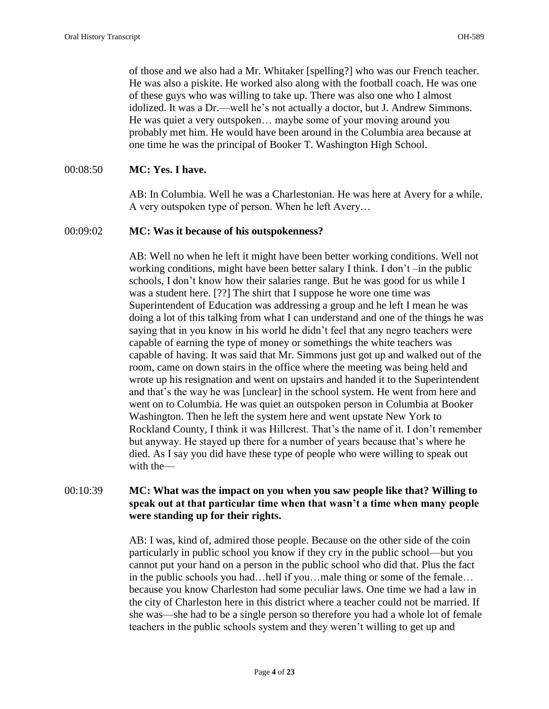of those and we also had a Mr. Whitaker [spelling?] who was our French teacher. He was also a piskite. He worked also along with the football coach. He was one of these guys who was willing to take up. There was also one who I almost idolized. It was a Dr.—well he's not actually a doctor, but J. Andrew Simmons. He was quiet a very outspoken… maybe some of your moving around you probably met him. He would have been around in the Columbia area because at one time he was the principal of Booker T. Washington High School.

#### 00:08:50 **MC: Yes. I have.**

AB: In Columbia. Well he was a Charlestonian. He was here at Avery for a while. A very outspoken type of person. When he left Avery…

#### 00:09:02 **MC: Was it because of his outspokenness?**

AB: Well no when he left it might have been better working conditions. Well not working conditions, might have been better salary I think. I don't –in the public schools, I don't know how their salaries range. But he was good for us while I was a student here. [??] The shirt that I suppose he wore one time was Superintendent of Education was addressing a group and he left I mean he was doing a lot of this talking from what I can understand and one of the things he was saying that in you know in his world he didn't feel that any negro teachers were capable of earning the type of money or somethings the white teachers was capable of having. It was said that Mr. Simmons just got up and walked out of the room, came on down stairs in the office where the meeting was being held and wrote up his resignation and went on upstairs and handed it to the Superintendent and that's the way he was [unclear] in the school system. He went from here and went on to Columbia. He was quiet an outspoken person in Columbia at Booker Washington. Then he left the system here and went upstate New York to Rockland County, I think it was Hillcrest. That's the name of it. I don't remember but anyway. He stayed up there for a number of years because that's where he died. As I say you did have these type of people who were willing to speak out with the—

# 00:10:39 **MC: What was the impact on you when you saw people like that? Willing to speak out at that particular time when that wasn't a time when many people were standing up for their rights.**

AB: I was, kind of, admired those people. Because on the other side of the coin particularly in public school you know if they cry in the public school—but you cannot put your hand on a person in the public school who did that. Plus the fact in the public schools you had…hell if you…male thing or some of the female… because you know Charleston had some peculiar laws. One time we had a law in the city of Charleston here in this district where a teacher could not be married. If she was—she had to be a single person so therefore you had a whole lot of female teachers in the public schools system and they weren't willing to get up and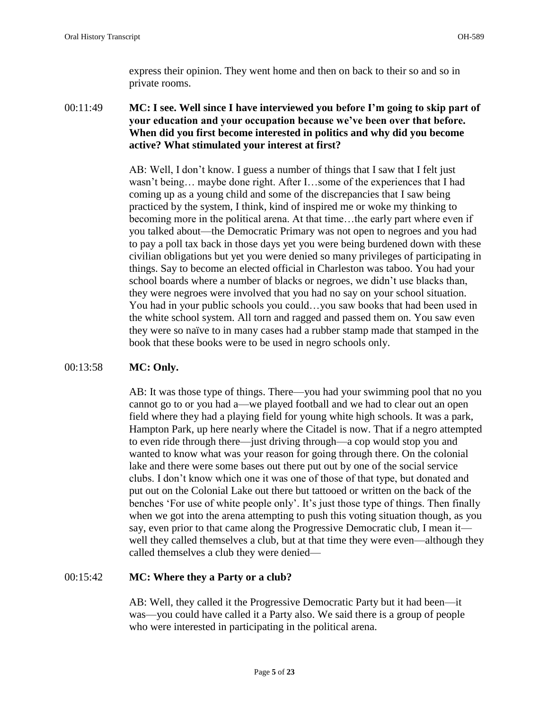express their opinion. They went home and then on back to their so and so in private rooms.

00:11:49 **MC: I see. Well since I have interviewed you before I'm going to skip part of your education and your occupation because we've been over that before. When did you first become interested in politics and why did you become active? What stimulated your interest at first?** 

> AB: Well, I don't know. I guess a number of things that I saw that I felt just wasn't being… maybe done right. After I…some of the experiences that I had coming up as a young child and some of the discrepancies that I saw being practiced by the system, I think, kind of inspired me or woke my thinking to becoming more in the political arena. At that time…the early part where even if you talked about—the Democratic Primary was not open to negroes and you had to pay a poll tax back in those days yet you were being burdened down with these civilian obligations but yet you were denied so many privileges of participating in things. Say to become an elected official in Charleston was taboo. You had your school boards where a number of blacks or negroes, we didn't use blacks than, they were negroes were involved that you had no say on your school situation. You had in your public schools you could…you saw books that had been used in the white school system. All torn and ragged and passed them on. You saw even they were so naïve to in many cases had a rubber stamp made that stamped in the book that these books were to be used in negro schools only.

# 00:13:58 **MC: Only.**

AB: It was those type of things. There—you had your swimming pool that no you cannot go to or you had a—we played football and we had to clear out an open field where they had a playing field for young white high schools. It was a park, Hampton Park, up here nearly where the Citadel is now. That if a negro attempted to even ride through there—just driving through—a cop would stop you and wanted to know what was your reason for going through there. On the colonial lake and there were some bases out there put out by one of the social service clubs. I don't know which one it was one of those of that type, but donated and put out on the Colonial Lake out there but tattooed or written on the back of the benches 'For use of white people only'. It's just those type of things. Then finally when we got into the arena attempting to push this voting situation though, as you say, even prior to that came along the Progressive Democratic club, I mean it well they called themselves a club, but at that time they were even—although they called themselves a club they were denied—

# 00:15:42 **MC: Where they a Party or a club?**

AB: Well, they called it the Progressive Democratic Party but it had been—it was—you could have called it a Party also. We said there is a group of people who were interested in participating in the political arena.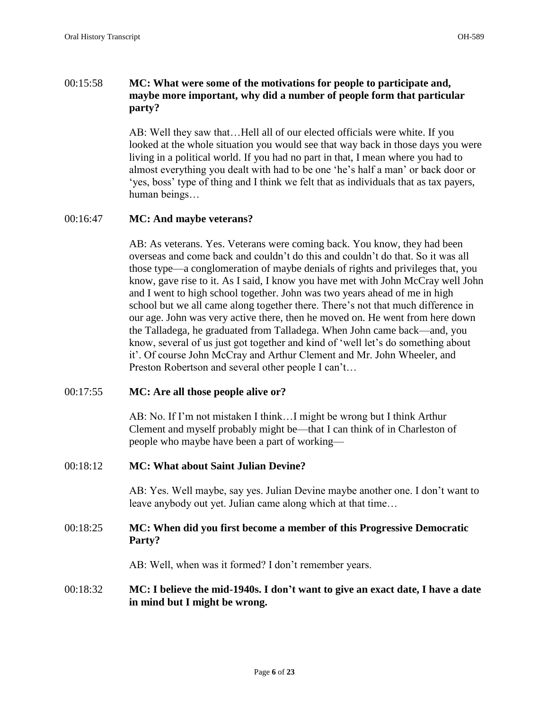# 00:15:58 **MC: What were some of the motivations for people to participate and, maybe more important, why did a number of people form that particular party?**

AB: Well they saw that…Hell all of our elected officials were white. If you looked at the whole situation you would see that way back in those days you were living in a political world. If you had no part in that, I mean where you had to almost everything you dealt with had to be one 'he's half a man' or back door or 'yes, boss' type of thing and I think we felt that as individuals that as tax payers, human beings…

### 00:16:47 **MC: And maybe veterans?**

AB: As veterans. Yes. Veterans were coming back. You know, they had been overseas and come back and couldn't do this and couldn't do that. So it was all those type—a conglomeration of maybe denials of rights and privileges that, you know, gave rise to it. As I said, I know you have met with John McCray well John and I went to high school together. John was two years ahead of me in high school but we all came along together there. There's not that much difference in our age. John was very active there, then he moved on. He went from here down the Talladega, he graduated from Talladega. When John came back—and, you know, several of us just got together and kind of 'well let's do something about it'. Of course John McCray and Arthur Clement and Mr. John Wheeler, and Preston Robertson and several other people I can't…

# 00:17:55 **MC: Are all those people alive or?**

AB: No. If I'm not mistaken I think…I might be wrong but I think Arthur Clement and myself probably might be—that I can think of in Charleston of people who maybe have been a part of working—

# 00:18:12 **MC: What about Saint Julian Devine?**

AB: Yes. Well maybe, say yes. Julian Devine maybe another one. I don't want to leave anybody out yet. Julian came along which at that time…

# 00:18:25 **MC: When did you first become a member of this Progressive Democratic Party?**

AB: Well, when was it formed? I don't remember years.

# 00:18:32 **MC: I believe the mid-1940s. I don't want to give an exact date, I have a date in mind but I might be wrong.**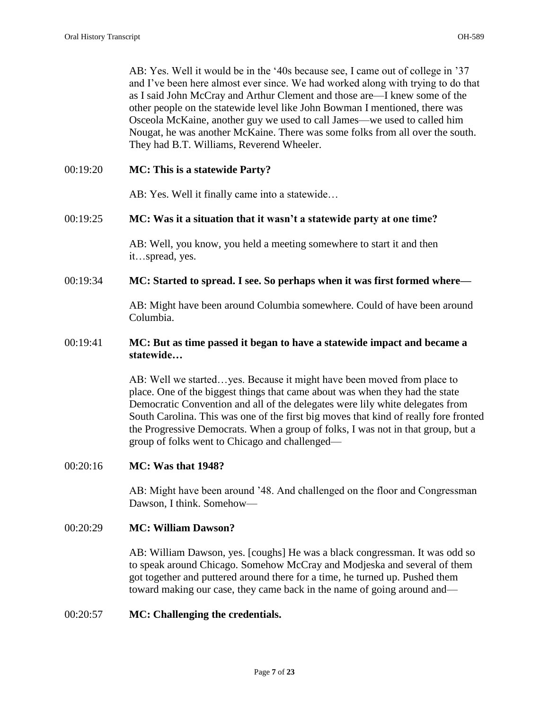AB: Yes. Well it would be in the '40s because see, I came out of college in '37 and I've been here almost ever since. We had worked along with trying to do that as I said John McCray and Arthur Clement and those are—I knew some of the other people on the statewide level like John Bowman I mentioned, there was Osceola McKaine, another guy we used to call James—we used to called him Nougat, he was another McKaine. There was some folks from all over the south. They had B.T. Williams, Reverend Wheeler.

### 00:19:20 **MC: This is a statewide Party?**

AB: Yes. Well it finally came into a statewide…

### 00:19:25 **MC: Was it a situation that it wasn't a statewide party at one time?**

AB: Well, you know, you held a meeting somewhere to start it and then it…spread, yes.

# 00:19:34 **MC: Started to spread. I see. So perhaps when it was first formed where—**

AB: Might have been around Columbia somewhere. Could of have been around Columbia.

# 00:19:41 **MC: But as time passed it began to have a statewide impact and became a statewide…**

AB: Well we started…yes. Because it might have been moved from place to place. One of the biggest things that came about was when they had the state Democratic Convention and all of the delegates were lily white delegates from South Carolina. This was one of the first big moves that kind of really fore fronted the Progressive Democrats. When a group of folks, I was not in that group, but a group of folks went to Chicago and challenged—

#### 00:20:16 **MC: Was that 1948?**

AB: Might have been around '48. And challenged on the floor and Congressman Dawson, I think. Somehow—

#### 00:20:29 **MC: William Dawson?**

AB: William Dawson, yes. [coughs] He was a black congressman. It was odd so to speak around Chicago. Somehow McCray and Modjeska and several of them got together and puttered around there for a time, he turned up. Pushed them toward making our case, they came back in the name of going around and—

#### 00:20:57 **MC: Challenging the credentials.**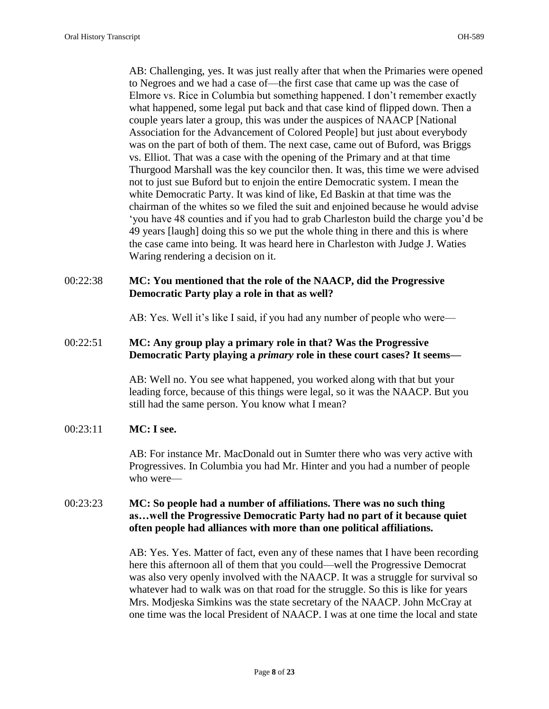AB: Challenging, yes. It was just really after that when the Primaries were opened to Negroes and we had a case of—the first case that came up was the case of Elmore vs. Rice in Columbia but something happened. I don't remember exactly what happened, some legal put back and that case kind of flipped down. Then a couple years later a group, this was under the auspices of NAACP [National Association for the Advancement of Colored People] but just about everybody was on the part of both of them. The next case, came out of Buford, was Briggs vs. Elliot. That was a case with the opening of the Primary and at that time Thurgood Marshall was the key councilor then. It was, this time we were advised not to just sue Buford but to enjoin the entire Democratic system. I mean the white Democratic Party. It was kind of like, Ed Baskin at that time was the chairman of the whites so we filed the suit and enjoined because he would advise 'you have 48 counties and if you had to grab Charleston build the charge you'd be 49 years [laugh] doing this so we put the whole thing in there and this is where the case came into being. It was heard here in Charleston with Judge J. Waties Waring rendering a decision on it.

# 00:22:38 **MC: You mentioned that the role of the NAACP, did the Progressive Democratic Party play a role in that as well?**

AB: Yes. Well it's like I said, if you had any number of people who were—

# 00:22:51 **MC: Any group play a primary role in that? Was the Progressive Democratic Party playing a** *primary* **role in these court cases? It seems—**

AB: Well no. You see what happened, you worked along with that but your leading force, because of this things were legal, so it was the NAACP. But you still had the same person. You know what I mean?

#### 00:23:11 **MC: I see.**

AB: For instance Mr. MacDonald out in Sumter there who was very active with Progressives. In Columbia you had Mr. Hinter and you had a number of people who were—

# 00:23:23 **MC: So people had a number of affiliations. There was no such thing as…well the Progressive Democratic Party had no part of it because quiet often people had alliances with more than one political affiliations.**

AB: Yes. Yes. Matter of fact, even any of these names that I have been recording here this afternoon all of them that you could—well the Progressive Democrat was also very openly involved with the NAACP. It was a struggle for survival so whatever had to walk was on that road for the struggle. So this is like for years Mrs. Modjeska Simkins was the state secretary of the NAACP. John McCray at one time was the local President of NAACP. I was at one time the local and state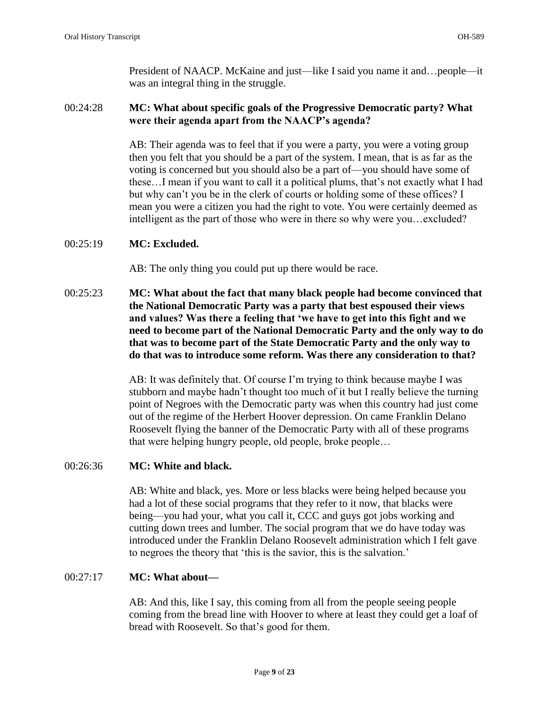President of NAACP. McKaine and just—like I said you name it and…people—it was an integral thing in the struggle.

# 00:24:28 **MC: What about specific goals of the Progressive Democratic party? What were their agenda apart from the NAACP's agenda?**

AB: Their agenda was to feel that if you were a party, you were a voting group then you felt that you should be a part of the system. I mean, that is as far as the voting is concerned but you should also be a part of—you should have some of these…I mean if you want to call it a political plums, that's not exactly what I had but why can't you be in the clerk of courts or holding some of these offices? I mean you were a citizen you had the right to vote. You were certainly deemed as intelligent as the part of those who were in there so why were you…excluded?

# 00:25:19 **MC: Excluded.**

AB: The only thing you could put up there would be race.

00:25:23 **MC: What about the fact that many black people had become convinced that the National Democratic Party was a party that best espoused their views and values? Was there a feeling that 'we have to get into this fight and we need to become part of the National Democratic Party and the only way to do that was to become part of the State Democratic Party and the only way to do that was to introduce some reform. Was there any consideration to that?** 

> AB: It was definitely that. Of course I'm trying to think because maybe I was stubborn and maybe hadn't thought too much of it but I really believe the turning point of Negroes with the Democratic party was when this country had just come out of the regime of the Herbert Hoover depression. On came Franklin Delano Roosevelt flying the banner of the Democratic Party with all of these programs that were helping hungry people, old people, broke people…

# 00:26:36 **MC: White and black.**

AB: White and black, yes. More or less blacks were being helped because you had a lot of these social programs that they refer to it now, that blacks were being—you had your, what you call it, CCC and guys got jobs working and cutting down trees and lumber. The social program that we do have today was introduced under the Franklin Delano Roosevelt administration which I felt gave to negroes the theory that 'this is the savior, this is the salvation.'

# 00:27:17 **MC: What about—**

AB: And this, like I say, this coming from all from the people seeing people coming from the bread line with Hoover to where at least they could get a loaf of bread with Roosevelt. So that's good for them.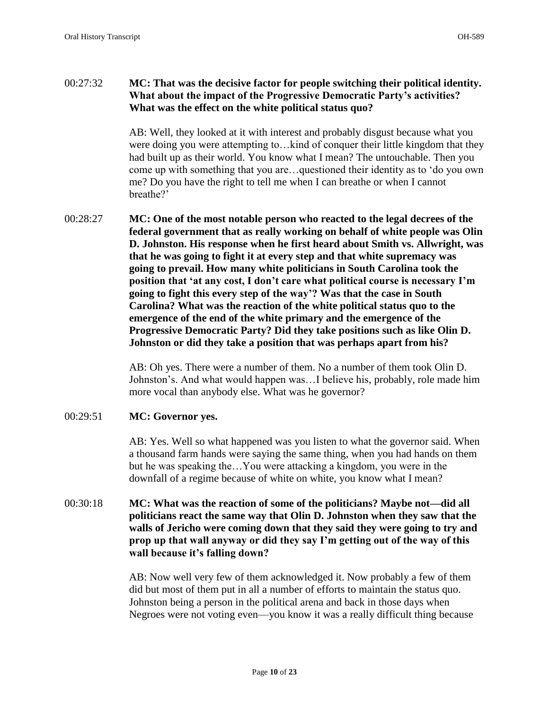# 00:27:32 **MC: That was the decisive factor for people switching their political identity. What about the impact of the Progressive Democratic Party's activities? What was the effect on the white political status quo?**

AB: Well, they looked at it with interest and probably disgust because what you were doing you were attempting to…kind of conquer their little kingdom that they had built up as their world. You know what I mean? The untouchable. Then you come up with something that you are…questioned their identity as to 'do you own me? Do you have the right to tell me when I can breathe or when I cannot breathe?'

00:28:27 **MC: One of the most notable person who reacted to the legal decrees of the federal government that as really working on behalf of white people was Olin D. Johnston. His response when he first heard about Smith vs. Allwright, was that he was going to fight it at every step and that white supremacy was going to prevail. How many white politicians in South Carolina took the position that 'at any cost, I don't care what political course is necessary I'm going to fight this every step of the way'? Was that the case in South Carolina? What was the reaction of the white political status quo to the emergence of the end of the white primary and the emergence of the Progressive Democratic Party? Did they take positions such as like Olin D. Johnston or did they take a position that was perhaps apart from his?** 

> AB: Oh yes. There were a number of them. No a number of them took Olin D. Johnston's. And what would happen was…I believe his, probably, role made him more vocal than anybody else. What was he governor?

# 00:29:51 **MC: Governor yes.**

AB: Yes. Well so what happened was you listen to what the governor said. When a thousand farm hands were saying the same thing, when you had hands on them but he was speaking the…You were attacking a kingdom, you were in the downfall of a regime because of white on white, you know what I mean?

# 00:30:18 **MC: What was the reaction of some of the politicians? Maybe not—did all politicians react the same way that Olin D. Johnston when they saw that the walls of Jericho were coming down that they said they were going to try and prop up that wall anyway or did they say I'm getting out of the way of this wall because it's falling down?**

AB: Now well very few of them acknowledged it. Now probably a few of them did but most of them put in all a number of efforts to maintain the status quo. Johnston being a person in the political arena and back in those days when Negroes were not voting even—you know it was a really difficult thing because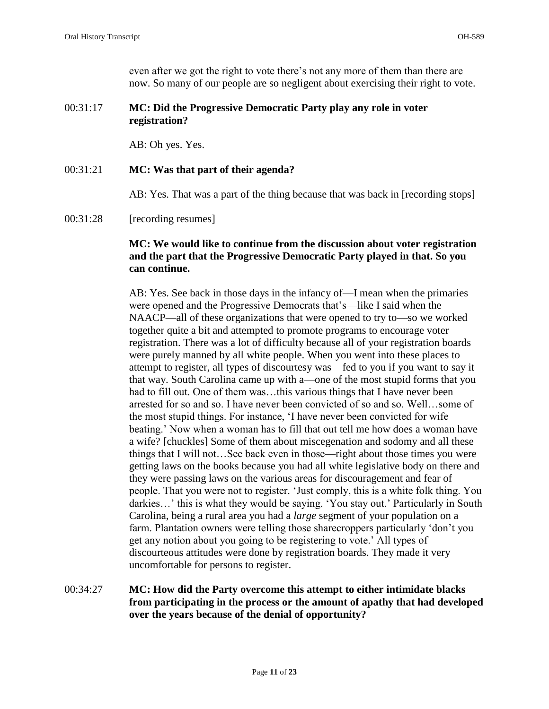even after we got the right to vote there's not any more of them than there are now. So many of our people are so negligent about exercising their right to vote.

# 00:31:17 **MC: Did the Progressive Democratic Party play any role in voter registration?**

AB: Oh yes. Yes.

### 00:31:21 **MC: Was that part of their agenda?**

AB: Yes. That was a part of the thing because that was back in [recording stops]

#### 00:31:28 [recording resumes]

# **MC: We would like to continue from the discussion about voter registration and the part that the Progressive Democratic Party played in that. So you can continue.**

AB: Yes. See back in those days in the infancy of—I mean when the primaries were opened and the Progressive Democrats that's—like I said when the NAACP—all of these organizations that were opened to try to—so we worked together quite a bit and attempted to promote programs to encourage voter registration. There was a lot of difficulty because all of your registration boards were purely manned by all white people. When you went into these places to attempt to register, all types of discourtesy was—fed to you if you want to say it that way. South Carolina came up with a—one of the most stupid forms that you had to fill out. One of them was…this various things that I have never been arrested for so and so. I have never been convicted of so and so. Well…some of the most stupid things. For instance, 'I have never been convicted for wife beating.' Now when a woman has to fill that out tell me how does a woman have a wife? [chuckles] Some of them about miscegenation and sodomy and all these things that I will not…See back even in those—right about those times you were getting laws on the books because you had all white legislative body on there and they were passing laws on the various areas for discouragement and fear of people. That you were not to register. 'Just comply, this is a white folk thing. You darkies…' this is what they would be saying. 'You stay out.' Particularly in South Carolina, being a rural area you had a *large* segment of your population on a farm. Plantation owners were telling those sharecroppers particularly 'don't you get any notion about you going to be registering to vote.' All types of discourteous attitudes were done by registration boards. They made it very uncomfortable for persons to register.

# 00:34:27 **MC: How did the Party overcome this attempt to either intimidate blacks from participating in the process or the amount of apathy that had developed over the years because of the denial of opportunity?**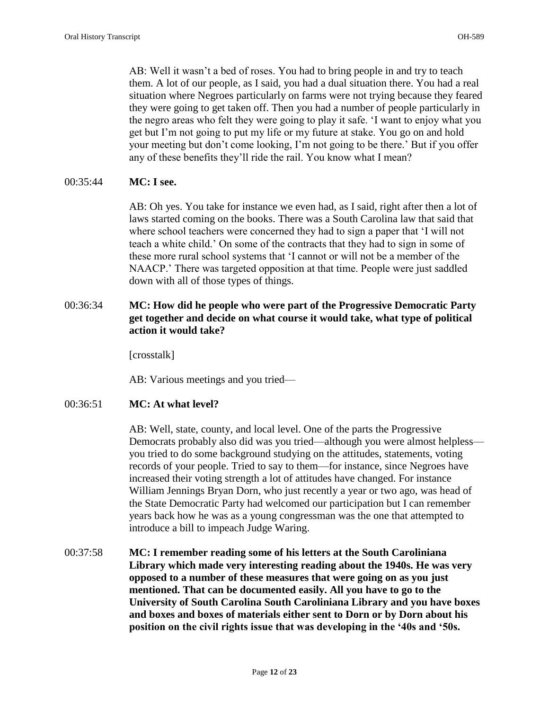AB: Well it wasn't a bed of roses. You had to bring people in and try to teach them. A lot of our people, as I said, you had a dual situation there. You had a real situation where Negroes particularly on farms were not trying because they feared they were going to get taken off. Then you had a number of people particularly in the negro areas who felt they were going to play it safe. 'I want to enjoy what you get but I'm not going to put my life or my future at stake. You go on and hold your meeting but don't come looking, I'm not going to be there.' But if you offer any of these benefits they'll ride the rail. You know what I mean?

### 00:35:44 **MC: I see.**

AB: Oh yes. You take for instance we even had, as I said, right after then a lot of laws started coming on the books. There was a South Carolina law that said that where school teachers were concerned they had to sign a paper that 'I will not teach a white child.' On some of the contracts that they had to sign in some of these more rural school systems that 'I cannot or will not be a member of the NAACP.' There was targeted opposition at that time. People were just saddled down with all of those types of things.

# 00:36:34 **MC: How did he people who were part of the Progressive Democratic Party get together and decide on what course it would take, what type of political action it would take?**

[crosstalk]

AB: Various meetings and you tried—

# 00:36:51 **MC: At what level?**

AB: Well, state, county, and local level. One of the parts the Progressive Democrats probably also did was you tried—although you were almost helpless you tried to do some background studying on the attitudes, statements, voting records of your people. Tried to say to them—for instance, since Negroes have increased their voting strength a lot of attitudes have changed. For instance William Jennings Bryan Dorn, who just recently a year or two ago, was head of the State Democratic Party had welcomed our participation but I can remember years back how he was as a young congressman was the one that attempted to introduce a bill to impeach Judge Waring.

00:37:58 **MC: I remember reading some of his letters at the South Caroliniana Library which made very interesting reading about the 1940s. He was very opposed to a number of these measures that were going on as you just mentioned. That can be documented easily. All you have to go to the University of South Carolina South Caroliniana Library and you have boxes and boxes and boxes of materials either sent to Dorn or by Dorn about his position on the civil rights issue that was developing in the '40s and '50s.**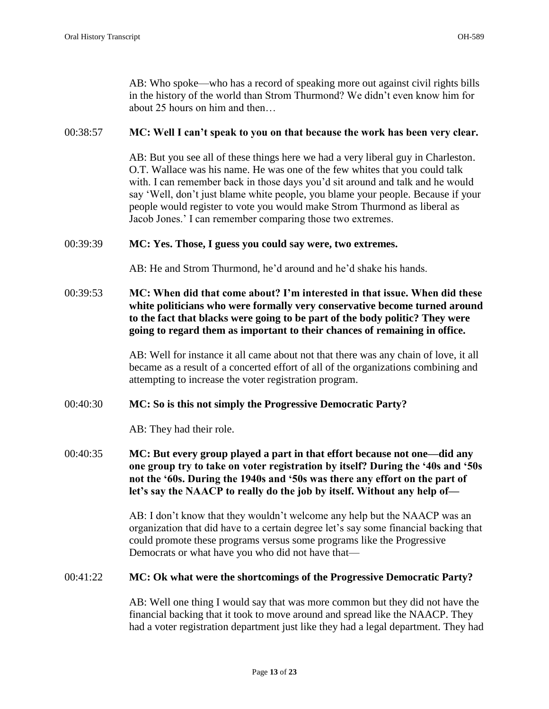AB: Who spoke—who has a record of speaking more out against civil rights bills in the history of the world than Strom Thurmond? We didn't even know him for about 25 hours on him and then…

#### 00:38:57 **MC: Well I can't speak to you on that because the work has been very clear.**

AB: But you see all of these things here we had a very liberal guy in Charleston. O.T. Wallace was his name. He was one of the few whites that you could talk with. I can remember back in those days you'd sit around and talk and he would say 'Well, don't just blame white people, you blame your people. Because if your people would register to vote you would make Strom Thurmond as liberal as Jacob Jones.' I can remember comparing those two extremes.

#### 00:39:39 **MC: Yes. Those, I guess you could say were, two extremes.**

AB: He and Strom Thurmond, he'd around and he'd shake his hands.

# 00:39:53 **MC: When did that come about? I'm interested in that issue. When did these white politicians who were formally very conservative become turned around to the fact that blacks were going to be part of the body politic? They were going to regard them as important to their chances of remaining in office.**

AB: Well for instance it all came about not that there was any chain of love, it all became as a result of a concerted effort of all of the organizations combining and attempting to increase the voter registration program.

# 00:40:30 **MC: So is this not simply the Progressive Democratic Party?**

AB: They had their role.

00:40:35 **MC: But every group played a part in that effort because not one—did any one group try to take on voter registration by itself? During the '40s and '50s not the '60s. During the 1940s and '50s was there any effort on the part of let's say the NAACP to really do the job by itself. Without any help of—**

> AB: I don't know that they wouldn't welcome any help but the NAACP was an organization that did have to a certain degree let's say some financial backing that could promote these programs versus some programs like the Progressive Democrats or what have you who did not have that—

#### 00:41:22 **MC: Ok what were the shortcomings of the Progressive Democratic Party?**

AB: Well one thing I would say that was more common but they did not have the financial backing that it took to move around and spread like the NAACP. They had a voter registration department just like they had a legal department. They had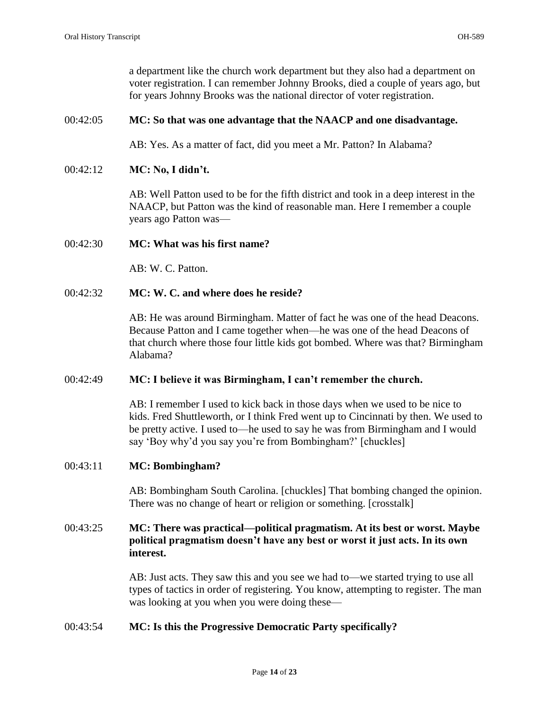a department like the church work department but they also had a department on voter registration. I can remember Johnny Brooks, died a couple of years ago, but for years Johnny Brooks was the national director of voter registration.

### 00:42:05 **MC: So that was one advantage that the NAACP and one disadvantage.**

AB: Yes. As a matter of fact, did you meet a Mr. Patton? In Alabama?

#### 00:42:12 **MC: No, I didn't.**

AB: Well Patton used to be for the fifth district and took in a deep interest in the NAACP, but Patton was the kind of reasonable man. Here I remember a couple years ago Patton was—

### 00:42:30 **MC: What was his first name?**

AB: W. C. Patton.

### 00:42:32 **MC: W. C. and where does he reside?**

AB: He was around Birmingham. Matter of fact he was one of the head Deacons. Because Patton and I came together when—he was one of the head Deacons of that church where those four little kids got bombed. Where was that? Birmingham Alabama?

#### 00:42:49 **MC: I believe it was Birmingham, I can't remember the church.**

AB: I remember I used to kick back in those days when we used to be nice to kids. Fred Shuttleworth, or I think Fred went up to Cincinnati by then. We used to be pretty active. I used to—he used to say he was from Birmingham and I would say 'Boy why'd you say you're from Bombingham?' [chuckles]

#### 00:43:11 **MC: Bombingham?**

AB: Bombingham South Carolina. [chuckles] That bombing changed the opinion. There was no change of heart or religion or something. [crosstalk]

# 00:43:25 **MC: There was practical—political pragmatism. At its best or worst. Maybe political pragmatism doesn't have any best or worst it just acts. In its own interest.**

AB: Just acts. They saw this and you see we had to—we started trying to use all types of tactics in order of registering. You know, attempting to register. The man was looking at you when you were doing these—

#### 00:43:54 **MC: Is this the Progressive Democratic Party specifically?**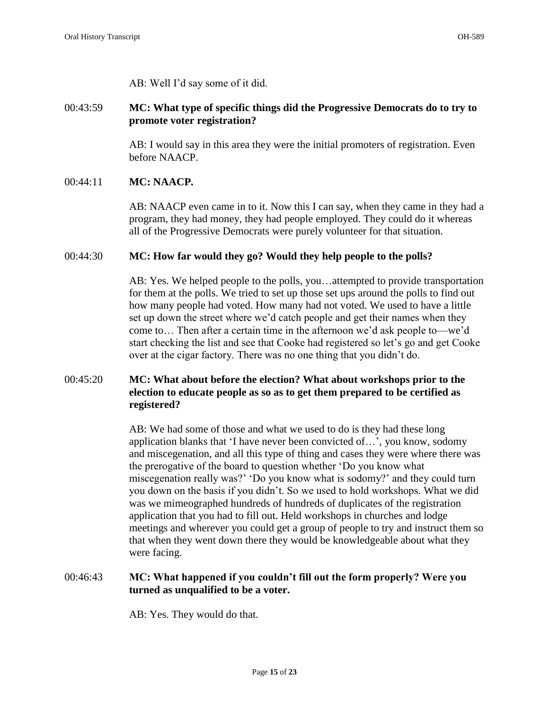AB: Well I'd say some of it did.

# 00:43:59 **MC: What type of specific things did the Progressive Democrats do to try to promote voter registration?**

AB: I would say in this area they were the initial promoters of registration. Even before NAACP.

# 00:44:11 **MC: NAACP.**

AB: NAACP even came in to it. Now this I can say, when they came in they had a program, they had money, they had people employed. They could do it whereas all of the Progressive Democrats were purely volunteer for that situation.

# 00:44:30 **MC: How far would they go? Would they help people to the polls?**

AB: Yes. We helped people to the polls, you…attempted to provide transportation for them at the polls. We tried to set up those set ups around the polls to find out how many people had voted. How many had not voted. We used to have a little set up down the street where we'd catch people and get their names when they come to… Then after a certain time in the afternoon we'd ask people to—we'd start checking the list and see that Cooke had registered so let's go and get Cooke over at the cigar factory. There was no one thing that you didn't do.

# 00:45:20 **MC: What about before the election? What about workshops prior to the election to educate people as so as to get them prepared to be certified as registered?**

AB: We had some of those and what we used to do is they had these long application blanks that 'I have never been convicted of…', you know, sodomy and miscegenation, and all this type of thing and cases they were where there was the prerogative of the board to question whether 'Do you know what miscegenation really was?' 'Do you know what is sodomy?' and they could turn you down on the basis if you didn't. So we used to hold workshops. What we did was we mimeographed hundreds of hundreds of duplicates of the registration application that you had to fill out. Held workshops in churches and lodge meetings and wherever you could get a group of people to try and instruct them so that when they went down there they would be knowledgeable about what they were facing.

# 00:46:43 **MC: What happened if you couldn't fill out the form properly? Were you turned as unqualified to be a voter.**

AB: Yes. They would do that.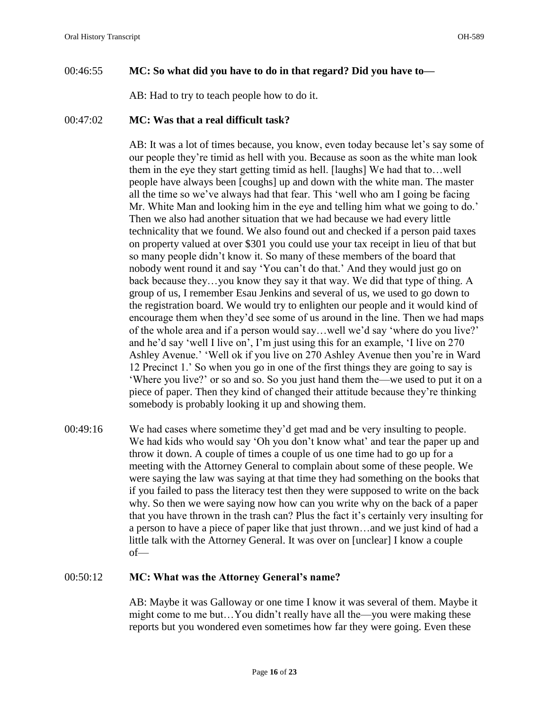# 00:46:55 **MC: So what did you have to do in that regard? Did you have to—**

AB: Had to try to teach people how to do it.

### 00:47:02 **MC: Was that a real difficult task?**

AB: It was a lot of times because, you know, even today because let's say some of our people they're timid as hell with you. Because as soon as the white man look them in the eye they start getting timid as hell. [laughs] We had that to…well people have always been [coughs] up and down with the white man. The master all the time so we've always had that fear. This 'well who am I going be facing Mr. White Man and looking him in the eye and telling him what we going to do.' Then we also had another situation that we had because we had every little technicality that we found. We also found out and checked if a person paid taxes on property valued at over \$301 you could use your tax receipt in lieu of that but so many people didn't know it. So many of these members of the board that nobody went round it and say 'You can't do that.' And they would just go on back because they…you know they say it that way. We did that type of thing. A group of us, I remember Esau Jenkins and several of us, we used to go down to the registration board. We would try to enlighten our people and it would kind of encourage them when they'd see some of us around in the line. Then we had maps of the whole area and if a person would say…well we'd say 'where do you live?' and he'd say 'well I live on', I'm just using this for an example, 'I live on 270 Ashley Avenue.' 'Well ok if you live on 270 Ashley Avenue then you're in Ward 12 Precinct 1.' So when you go in one of the first things they are going to say is 'Where you live?' or so and so. So you just hand them the—we used to put it on a piece of paper. Then they kind of changed their attitude because they're thinking somebody is probably looking it up and showing them.

00:49:16 We had cases where sometime they'd get mad and be very insulting to people. We had kids who would say 'Oh you don't know what' and tear the paper up and throw it down. A couple of times a couple of us one time had to go up for a meeting with the Attorney General to complain about some of these people. We were saying the law was saying at that time they had something on the books that if you failed to pass the literacy test then they were supposed to write on the back why. So then we were saying now how can you write why on the back of a paper that you have thrown in the trash can? Plus the fact it's certainly very insulting for a person to have a piece of paper like that just thrown…and we just kind of had a little talk with the Attorney General. It was over on [unclear] I know a couple of—

#### 00:50:12 **MC: What was the Attorney General's name?**

AB: Maybe it was Galloway or one time I know it was several of them. Maybe it might come to me but…You didn't really have all the—you were making these reports but you wondered even sometimes how far they were going. Even these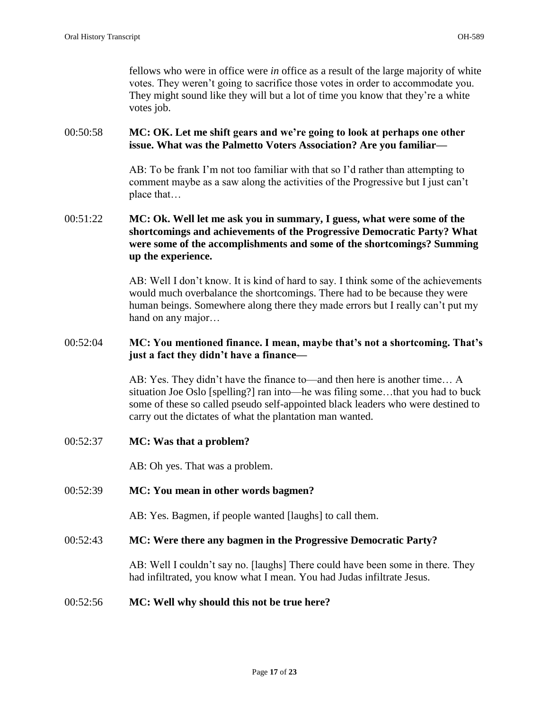fellows who were in office were *in* office as a result of the large majority of white votes. They weren't going to sacrifice those votes in order to accommodate you. They might sound like they will but a lot of time you know that they're a white votes job.

# 00:50:58 **MC: OK. Let me shift gears and we're going to look at perhaps one other issue. What was the Palmetto Voters Association? Are you familiar—**

AB: To be frank I'm not too familiar with that so I'd rather than attempting to comment maybe as a saw along the activities of the Progressive but I just can't place that…

# 00:51:22 **MC: Ok. Well let me ask you in summary, I guess, what were some of the shortcomings and achievements of the Progressive Democratic Party? What were some of the accomplishments and some of the shortcomings? Summing up the experience.**

AB: Well I don't know. It is kind of hard to say. I think some of the achievements would much overbalance the shortcomings. There had to be because they were human beings. Somewhere along there they made errors but I really can't put my hand on any major…

# 00:52:04 **MC: You mentioned finance. I mean, maybe that's not a shortcoming. That's just a fact they didn't have a finance—**

AB: Yes. They didn't have the finance to—and then here is another time… A situation Joe Oslo [spelling?] ran into—he was filing some…that you had to buck some of these so called pseudo self-appointed black leaders who were destined to carry out the dictates of what the plantation man wanted.

00:52:37 **MC: Was that a problem?** 

AB: Oh yes. That was a problem.

#### 00:52:39 **MC: You mean in other words bagmen?**

AB: Yes. Bagmen, if people wanted [laughs] to call them.

#### 00:52:43 **MC: Were there any bagmen in the Progressive Democratic Party?**

AB: Well I couldn't say no. [laughs] There could have been some in there. They had infiltrated, you know what I mean. You had Judas infiltrate Jesus.

#### 00:52:56 **MC: Well why should this not be true here?**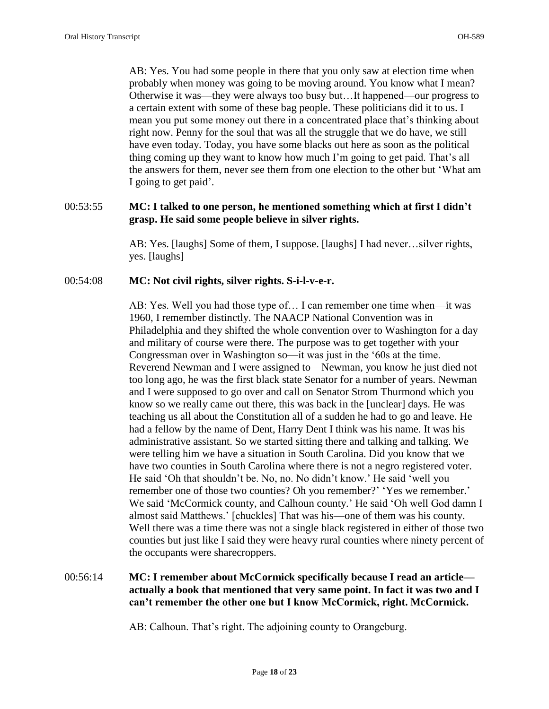AB: Yes. You had some people in there that you only saw at election time when probably when money was going to be moving around. You know what I mean? Otherwise it was—they were always too busy but…It happened—our progress to a certain extent with some of these bag people. These politicians did it to us. I mean you put some money out there in a concentrated place that's thinking about right now. Penny for the soul that was all the struggle that we do have, we still have even today. Today, you have some blacks out here as soon as the political thing coming up they want to know how much I'm going to get paid. That's all the answers for them, never see them from one election to the other but 'What am I going to get paid'.

# 00:53:55 **MC: I talked to one person, he mentioned something which at first I didn't grasp. He said some people believe in silver rights.**

AB: Yes. [laughs] Some of them, I suppose. [laughs] I had never…silver rights, yes. [laughs]

# 00:54:08 **MC: Not civil rights, silver rights. S-i-l-v-e-r.**

AB: Yes. Well you had those type of… I can remember one time when—it was 1960, I remember distinctly. The NAACP National Convention was in Philadelphia and they shifted the whole convention over to Washington for a day and military of course were there. The purpose was to get together with your Congressman over in Washington so—it was just in the '60s at the time. Reverend Newman and I were assigned to—Newman, you know he just died not too long ago, he was the first black state Senator for a number of years. Newman and I were supposed to go over and call on Senator Strom Thurmond which you know so we really came out there, this was back in the [unclear] days. He was teaching us all about the Constitution all of a sudden he had to go and leave. He had a fellow by the name of Dent, Harry Dent I think was his name. It was his administrative assistant. So we started sitting there and talking and talking. We were telling him we have a situation in South Carolina. Did you know that we have two counties in South Carolina where there is not a negro registered voter. He said 'Oh that shouldn't be. No, no. No didn't know.' He said 'well you remember one of those two counties? Oh you remember?' 'Yes we remember.' We said 'McCormick county, and Calhoun county.' He said 'Oh well God damn I almost said Matthews.' [chuckles] That was his—one of them was his county. Well there was a time there was not a single black registered in either of those two counties but just like I said they were heavy rural counties where ninety percent of the occupants were sharecroppers.

# 00:56:14 **MC: I remember about McCormick specifically because I read an article actually a book that mentioned that very same point. In fact it was two and I can't remember the other one but I know McCormick, right. McCormick.**

AB: Calhoun. That's right. The adjoining county to Orangeburg.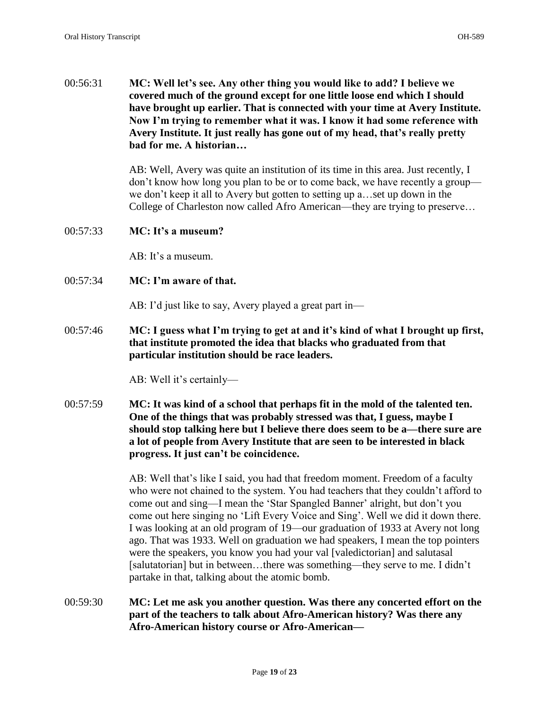00:56:31 **MC: Well let's see. Any other thing you would like to add? I believe we covered much of the ground except for one little loose end which I should have brought up earlier. That is connected with your time at Avery Institute. Now I'm trying to remember what it was. I know it had some reference with Avery Institute. It just really has gone out of my head, that's really pretty bad for me. A historian…**

> AB: Well, Avery was quite an institution of its time in this area. Just recently, I don't know how long you plan to be or to come back, we have recently a group we don't keep it all to Avery but gotten to setting up a…set up down in the College of Charleston now called Afro American—they are trying to preserve…

00:57:33 **MC: It's a museum?** 

AB: It's a museum.

00:57:34 **MC: I'm aware of that.** 

AB: I'd just like to say, Avery played a great part in—

00:57:46 **MC: I guess what I'm trying to get at and it's kind of what I brought up first, that institute promoted the idea that blacks who graduated from that particular institution should be race leaders.** 

AB: Well it's certainly—

00:57:59 **MC: It was kind of a school that perhaps fit in the mold of the talented ten. One of the things that was probably stressed was that, I guess, maybe I should stop talking here but I believe there does seem to be a—there sure are a lot of people from Avery Institute that are seen to be interested in black progress. It just can't be coincidence.** 

> AB: Well that's like I said, you had that freedom moment. Freedom of a faculty who were not chained to the system. You had teachers that they couldn't afford to come out and sing—I mean the 'Star Spangled Banner' alright, but don't you come out here singing no 'Lift Every Voice and Sing'. Well we did it down there. I was looking at an old program of 19—our graduation of 1933 at Avery not long ago. That was 1933. Well on graduation we had speakers, I mean the top pointers were the speakers, you know you had your val [valedictorian] and salutasal [salutatorian] but in between…there was something—they serve to me. I didn't partake in that, talking about the atomic bomb.

00:59:30 **MC: Let me ask you another question. Was there any concerted effort on the part of the teachers to talk about Afro-American history? Was there any Afro-American history course or Afro-American—**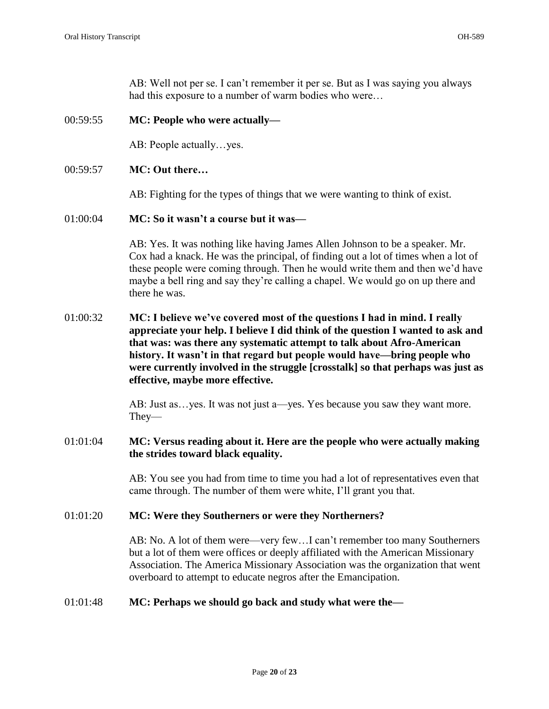AB: Well not per se. I can't remember it per se. But as I was saying you always had this exposure to a number of warm bodies who were…

### 00:59:55 **MC: People who were actually—**

AB: People actually…yes.

### 00:59:57 **MC: Out there…**

AB: Fighting for the types of things that we were wanting to think of exist.

#### 01:00:04 **MC: So it wasn't a course but it was—**

AB: Yes. It was nothing like having James Allen Johnson to be a speaker. Mr. Cox had a knack. He was the principal, of finding out a lot of times when a lot of these people were coming through. Then he would write them and then we'd have maybe a bell ring and say they're calling a chapel. We would go on up there and there he was.

01:00:32 **MC: I believe we've covered most of the questions I had in mind. I really appreciate your help. I believe I did think of the question I wanted to ask and that was: was there any systematic attempt to talk about Afro-American history. It wasn't in that regard but people would have—bring people who were currently involved in the struggle [crosstalk] so that perhaps was just as effective, maybe more effective.** 

> AB: Just as…yes. It was not just a—yes. Yes because you saw they want more. They—

### 01:01:04 **MC: Versus reading about it. Here are the people who were actually making the strides toward black equality.**

AB: You see you had from time to time you had a lot of representatives even that came through. The number of them were white, I'll grant you that.

#### 01:01:20 **MC: Were they Southerners or were they Northerners?**

AB: No. A lot of them were—very few…I can't remember too many Southerners but a lot of them were offices or deeply affiliated with the American Missionary Association. The America Missionary Association was the organization that went overboard to attempt to educate negros after the Emancipation.

# 01:01:48 **MC: Perhaps we should go back and study what were the—**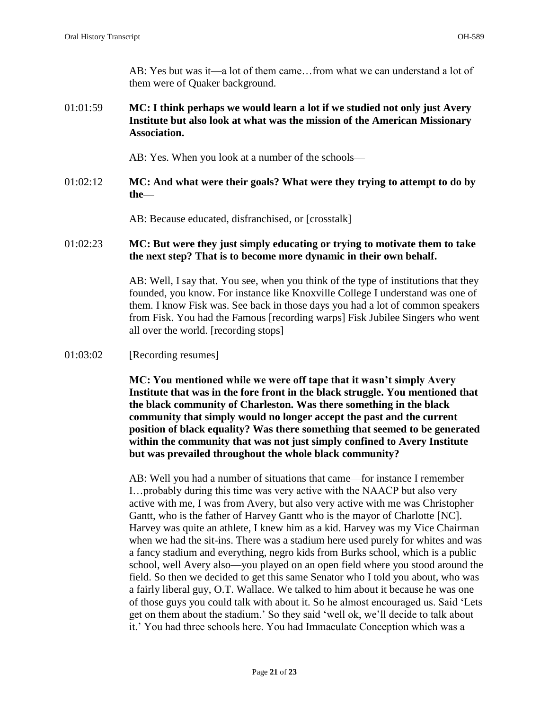AB: Yes but was it—a lot of them came…from what we can understand a lot of them were of Quaker background.

01:01:59 **MC: I think perhaps we would learn a lot if we studied not only just Avery Institute but also look at what was the mission of the American Missionary Association.** 

AB: Yes. When you look at a number of the schools—

01:02:12 **MC: And what were their goals? What were they trying to attempt to do by the—**

AB: Because educated, disfranchised, or [crosstalk]

01:02:23 **MC: But were they just simply educating or trying to motivate them to take the next step? That is to become more dynamic in their own behalf.** 

> AB: Well, I say that. You see, when you think of the type of institutions that they founded, you know. For instance like Knoxville College I understand was one of them. I know Fisk was. See back in those days you had a lot of common speakers from Fisk. You had the Famous [recording warps] Fisk Jubilee Singers who went all over the world. [recording stops]

01:03:02 [Recording resumes]

**MC: You mentioned while we were off tape that it wasn't simply Avery Institute that was in the fore front in the black struggle. You mentioned that the black community of Charleston. Was there something in the black community that simply would no longer accept the past and the current position of black equality? Was there something that seemed to be generated within the community that was not just simply confined to Avery Institute but was prevailed throughout the whole black community?**

AB: Well you had a number of situations that came—for instance I remember I…probably during this time was very active with the NAACP but also very active with me, I was from Avery, but also very active with me was Christopher Gantt, who is the father of Harvey Gantt who is the mayor of Charlotte [NC]. Harvey was quite an athlete, I knew him as a kid. Harvey was my Vice Chairman when we had the sit-ins. There was a stadium here used purely for whites and was a fancy stadium and everything, negro kids from Burks school, which is a public school, well Avery also—you played on an open field where you stood around the field. So then we decided to get this same Senator who I told you about, who was a fairly liberal guy, O.T. Wallace. We talked to him about it because he was one of those guys you could talk with about it. So he almost encouraged us. Said 'Lets get on them about the stadium.' So they said 'well ok, we'll decide to talk about it.' You had three schools here. You had Immaculate Conception which was a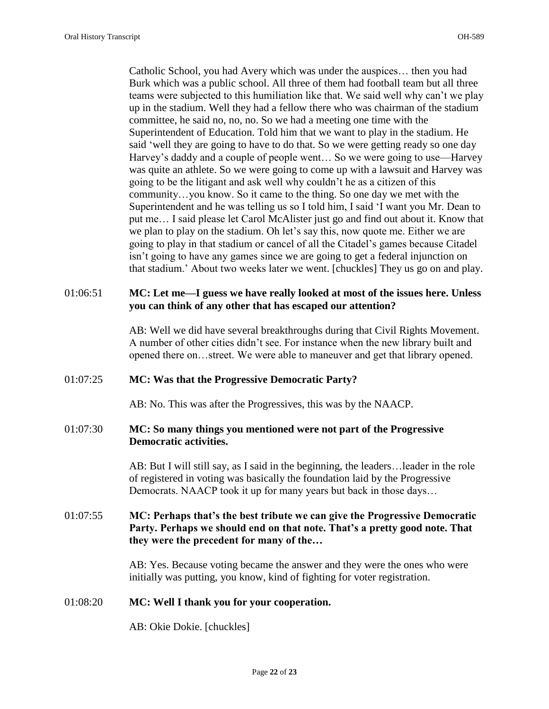Catholic School, you had Avery which was under the auspices… then you had Burk which was a public school. All three of them had football team but all three teams were subjected to this humiliation like that. We said well why can't we play up in the stadium. Well they had a fellow there who was chairman of the stadium committee, he said no, no, no. So we had a meeting one time with the Superintendent of Education. Told him that we want to play in the stadium. He said 'well they are going to have to do that. So we were getting ready so one day Harvey's daddy and a couple of people went... So we were going to use—Harvey was quite an athlete. So we were going to come up with a lawsuit and Harvey was going to be the litigant and ask well why couldn't he as a citizen of this community…you know. So it came to the thing. So one day we met with the Superintendent and he was telling us so I told him, I said 'I want you Mr. Dean to put me… I said please let Carol McAlister just go and find out about it. Know that we plan to play on the stadium. Oh let's say this, now quote me. Either we are going to play in that stadium or cancel of all the Citadel's games because Citadel isn't going to have any games since we are going to get a federal injunction on that stadium.' About two weeks later we went. [chuckles] They us go on and play.

# 01:06:51 **MC: Let me—I guess we have really looked at most of the issues here. Unless you can think of any other that has escaped our attention?**

AB: Well we did have several breakthroughs during that Civil Rights Movement. A number of other cities didn't see. For instance when the new library built and opened there on…street. We were able to maneuver and get that library opened.

# 01:07:25 **MC: Was that the Progressive Democratic Party?**

AB: No. This was after the Progressives, this was by the NAACP.

# 01:07:30 **MC: So many things you mentioned were not part of the Progressive Democratic activities.**

AB: But I will still say, as I said in the beginning, the leaders…leader in the role of registered in voting was basically the foundation laid by the Progressive Democrats. NAACP took it up for many years but back in those days…

# 01:07:55 **MC: Perhaps that's the best tribute we can give the Progressive Democratic Party. Perhaps we should end on that note. That's a pretty good note. That they were the precedent for many of the…**

AB: Yes. Because voting became the answer and they were the ones who were initially was putting, you know, kind of fighting for voter registration.

# 01:08:20 **MC: Well I thank you for your cooperation.**

AB: Okie Dokie. [chuckles]